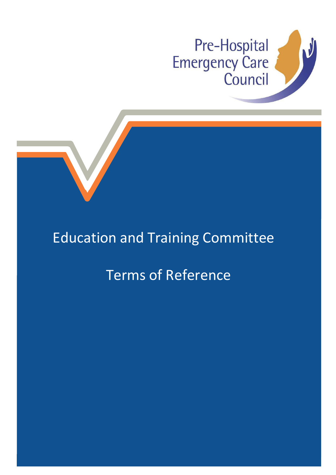



## Education and Training Committee

## Terms of Reference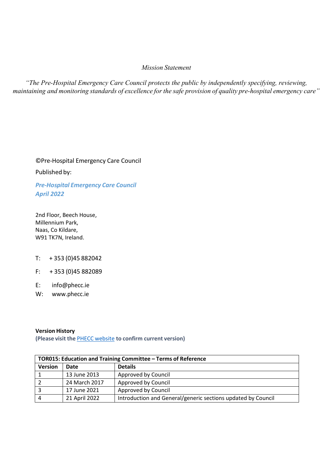### *Mission Statement*

*"The Pre-Hospital Emergency Care Council protects the public by independently specifying, reviewing, maintaining and monitoring standards of excellence for the safe provision of quality pre-hospital emergency care"*

©Pre-Hospital Emergency Care Council

Published by:

*Pre-Hospital Emergency Care Council April 2022*

2nd Floor, Beech House, Millennium Park, Naas, Co Kildare, W91 TK7N, Ireland.

- T: + 353 (0)45 882042
- F: + 353 (0)45 882089
- E: [info@phecc.ie](mailto:info@phecc.ie)
- W: [www.phecc.ie](http://www.phecc.ie/)

#### **Version History**

**(Please visit the** PHECC [website](http://www.phecit.ie/PHECC/Clinical_resources/Clinical_Standards/PHECC/Clinical_Resources/Clinical_Standards/Clinical_Standards.aspx?Hkey=8a152974-f9b2-4294-b14d-09aa23d6403e) **to confirm current version)**

| TOR015: Education and Training Committee - Terms of Reference |               |                                                              |  |  |
|---------------------------------------------------------------|---------------|--------------------------------------------------------------|--|--|
| <b>Version</b>                                                | Date          | <b>Details</b>                                               |  |  |
|                                                               | 13 June 2013  | Approved by Council                                          |  |  |
|                                                               | 24 March 2017 | Approved by Council                                          |  |  |
|                                                               | 17 June 2021  | Approved by Council                                          |  |  |
| 4                                                             | 21 April 2022 | Introduction and General/generic sections updated by Council |  |  |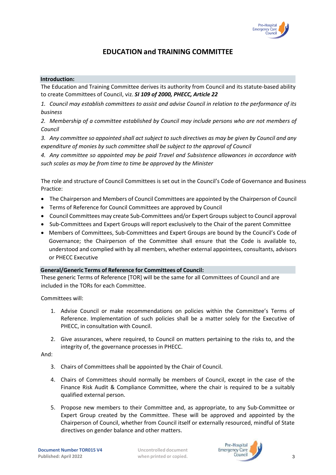

## **EDUCATION and TRAINING COMMITTEE**

#### **Introduction:**

The Education and Training Committee derives its authority from Council and its statute-based ability to create Committees of Council, viz. *SI 109 of 2000, PHECC, Article 22*

*1. Council may establish committees to assist and advise Council in relation to the performance of its business*

*2. Membership of a committee established by Council may include persons who are not members of Council*

*3. Any committee so appointed shall act subject to such directives as may be given by Council and any expenditure of monies by such committee shall be subject to the approval of Council*

*4. Any committee so appointed may be paid Travel and Subsistence allowances in accordance with such scales as may be from time to time be approved by the Minister*

The role and structure of Council Committees is set out in the Council's Code of Governance and Business Practice:

- The Chairperson and Members of Council Committees are appointed by the Chairperson of Council
- Terms of Reference for Council Committees are approved by Council
- Council Committees may create Sub-Committees and/or Expert Groups subject to Council approval
- Sub-Committees and Expert Groups will report exclusively to the Chair of the parent Committee
- Members of Committees, Sub-Committees and Expert Groups are bound by the Council's Code of Governance; the Chairperson of the Committee shall ensure that the Code is available to, understood and complied with by all members, whether external appointees, consultants, advisors or PHECC Executive

#### **General/Generic Terms of Reference for Committees of Council:**

These generic Terms of Reference [TOR] will be the same for all Committees of Council and are included in the TORs for each Committee.

Committees will:

- 1. Advise Council or make recommendations on policies within the Committee's Terms of Reference. Implementation of such policies shall be a matter solely for the Executive of PHECC, in consultation with Council.
- 2. Give assurances, where required, to Council on matters pertaining to the risks to, and the integrity of, the governance processes in PHECC.

And:

- 3. Chairs of Committees shall be appointed by the Chair of Council.
- 4. Chairs of Committees should normally be members of Council, except in the case of the Finance Risk Audit & Compliance Committee, where the chair is required to be a suitably qualified external person.
- 5. Propose new members to their Committee and, as appropriate, to any Sub-Committee or Expert Group created by the Committee. These will be approved and appointed by the Chairperson of Council, whether from Council itself or externally resourced, mindful of State directives on gender balance and other matters.

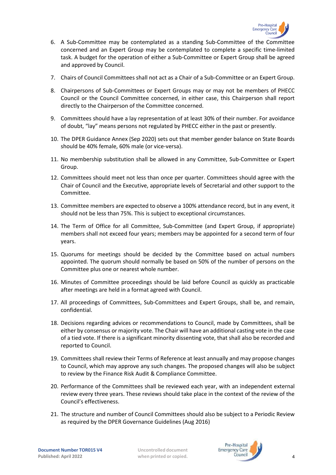

- 6. A Sub-Committee may be contemplated as a standing Sub-Committee of the Committee concerned and an Expert Group may be contemplated to complete a specific time-limited task. A budget for the operation of either a Sub-Committee or Expert Group shall be agreed and approved by Council.
- 7. Chairs of Council Committees shall not act as a Chair of a Sub-Committee or an Expert Group.
- 8. Chairpersons of Sub-Committees or Expert Groups may or may not be members of PHECC Council or the Council Committee concerned, in either case, this Chairperson shall report directly to the Chairperson of the Committee concerned.
- 9. Committees should have a lay representation of at least 30% of their number. For avoidance of doubt, "lay" means persons not regulated by PHECC either in the past or presently.
- 10. The DPER Guidance Annex (Sep 2020) sets out that member gender balance on State Boards should be 40% female, 60% male (or vice-versa).
- 11. No membership substitution shall be allowed in any Committee, Sub-Committee or Expert Group.
- 12. Committees should meet not less than once per quarter. Committees should agree with the Chair of Council and the Executive, appropriate levels of Secretarial and other support to the Committee.
- 13. Committee members are expected to observe a 100% attendance record, but in any event, it should not be less than 75%. This is subject to exceptional circumstances.
- 14. The Term of Office for all Committee, Sub-Committee (and Expert Group, if appropriate) members shall not exceed four years; members may be appointed for a second term of four years.
- 15. Quorums for meetings should be decided by the Committee based on actual numbers appointed. The quorum should normally be based on 50% of the number of persons on the Committee plus one or nearest whole number.
- 16. Minutes of Committee proceedings should be laid before Council as quickly as practicable after meetings are held in a format agreed with Council.
- 17. All proceedings of Committees, Sub-Committees and Expert Groups, shall be, and remain, confidential.
- 18. Decisions regarding advices or recommendations to Council, made by Committees, shall be either by consensus or majority vote. The Chair will have an additional casting vote in the case of a tied vote. If there is a significant minority dissenting vote, that shall also be recorded and reported to Council.
- 19. Committees shall review their Terms of Reference at least annually and may propose changes to Council, which may approve any such changes. The proposed changes will also be subject to review by the Finance Risk Audit & Compliance Committee.
- 20. Performance of the Committees shall be reviewed each year, with an independent external review every three years. These reviews should take place in the context of the review of the Council's effectiveness.
- 21. The structure and number of Council Committees should also be subject to a Periodic Review as required by the DPER Governance Guidelines (Aug 2016)

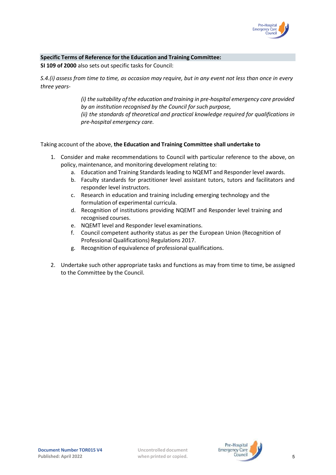

#### **Specific Terms of Reference for the Education and Training Committee:**

**SI 109 of 2000** also sets out specific tasks for Council:

*S.4.(i) assess from time to time, as occasion may require, but in any event not less than once in every three years-* 

> *(i) the suitability ofthe education and training in pre-hospital emergency care provided by an institution recognised by the Council for such purpose, (ii) the standards of theoretical and practical knowledge required for qualifications in*

*pre-hospital emergency care.*

#### Taking account of the above, **the Education and Training Committee shall undertake to**

- 1. Consider and make recommendations to Council with particular reference to the above, on policy, maintenance, and monitoring development relating to:
	- a. Education and Training Standards leading to NQEMT and Responder level awards.
	- b. Faculty standards for practitioner level assistant tutors, tutors and facilitators and responder level instructors.
	- c. Research in education and training including emerging technology and the formulation of experimental curricula.
	- d. Recognition of institutions providing NQEMT and Responder level training and recognised courses.
	- e. NQEMT level and Responder level examinations.
	- f. Council competent authority status as per the European Union (Recognition of Professional Qualifications) Regulations 2017.
	- g. Recognition of equivalence of professional qualifications.
- 2. Undertake such other appropriate tasks and functions as may from time to time, be assigned to the Committee by the Council.

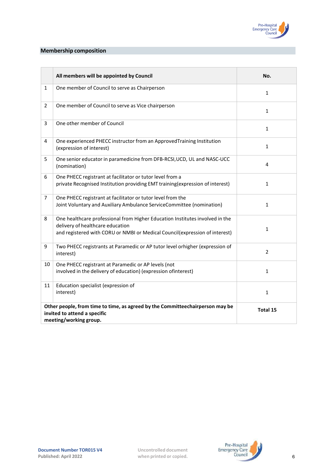

### **Membership composition**

|                | All members will be appointed by Council                                                                                                                                                        | No.            |
|----------------|-------------------------------------------------------------------------------------------------------------------------------------------------------------------------------------------------|----------------|
| 1              | One member of Council to serve as Chairperson                                                                                                                                                   | $\mathbf{1}$   |
| $\overline{2}$ | One member of Council to serve as Vice chairperson                                                                                                                                              | 1              |
| 3              | One other member of Council                                                                                                                                                                     | $\mathbf{1}$   |
| 4              | One experienced PHECC instructor from an ApprovedTraining Institution<br>(expression of interest)                                                                                               | $\mathbf{1}$   |
| 5              | One senior educator in paramedicine from DFB-RCSI, UCD, UL and NASC-UCC<br>(nomination)                                                                                                         | 4              |
| 6              | One PHECC registrant at facilitator or tutor level from a<br>private Recognised Institution providing EMT training (expression of interest)                                                     | $\mathbf{1}$   |
| $\overline{7}$ | One PHECC registrant at facilitator or tutor level from the<br>Joint Voluntary and Auxiliary Ambulance ServiceCommittee (nomination)                                                            | 1              |
| 8              | One healthcare professional from Higher Education Institutes involved in the<br>delivery of healthcare education<br>and registered with CORU or NMBI or Medical Council(expression of interest) | 1              |
| 9              | Two PHECC registrants at Paramedic or AP tutor level orhigher (expression of<br>interest)                                                                                                       | $\overline{2}$ |
| 10             | One PHECC registrant at Paramedic or AP levels (not<br>involved in the delivery of education) (expression of interest)                                                                          | $\mathbf{1}$   |
| 11             | Education specialist (expression of<br>interest)                                                                                                                                                | 1              |
|                | Other people, from time to time, as agreed by the Committeechairperson may be<br>invited to attend a specific<br>meeting/working group.                                                         | Total 15       |